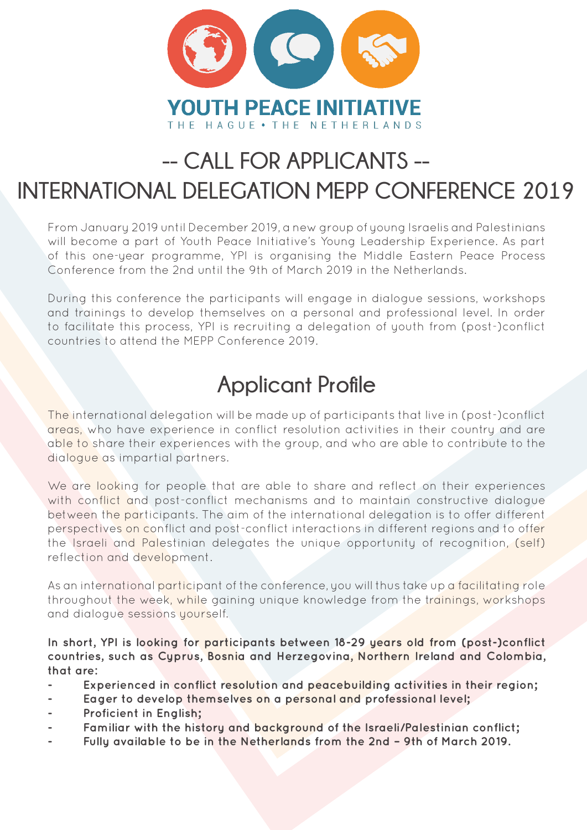

## **-- CALL FOR APPLICANTS -- INTERNATIONAL DELEGATION MEPP CONFERENCE 2019**

From January 2019 until December 2019, a new group of young Israelis and Palestinians will become a part of Youth Peace Initiative's Young Leadership Experience. As part of this one-year programme, YPI is organising the Middle Eastern Peace Process Conference from the 2nd until the 9th of March 2019 in the Netherlands.

During this conference the participants will engage in dialogue sessions, workshops and trainings to develop themselves on a personal and professional level. In order to facilitate this process, YPI is recruiting a delegation of youth from (post-)conflict countries to attend the MEPP Conference 2019.

## **Applicant Profile**

The international delegation will be made up of participants that live in (post-)conflict areas, who have experience in conflict resolution activities in their country and are able to share their experiences with the group, and who are able to contribute to the dialogue as impartial partners.

We are looking for people that are able to share and reflect on their experiences with conflict and post-conflict mechanisms and to maintain constructive dialogue between the participants. The aim of the international delegation is to offer different perspectives on conflict and post-conflict interactions in different regions and to offer the Israeli and Palestinian delegates the unique opportunity of recognition, (self) reflection and development.

As an international participant of the conference, you will thus take up a facilitating role throughout the week, while gaining unique knowledge from the trainings, workshops and dialogue sessions yourself.

**In short, YPI is looking for participants between 18-29 years old from (post-)conflict countries, such as Cyprus, Bosnia and Herzegovina, Northern Ireland and Colombia, that are:**

- **- Experienced in conflict resolution and peacebuilding activities in their region;**
- **- Eager to develop themselves on a personal and professional level;**
- **- Proficient in English;**
- **- Familiar with the history and background of the Israeli/Palestinian conflict;**
- **- Fully available to be in the Netherlands from the 2nd 9th of March 2019.**